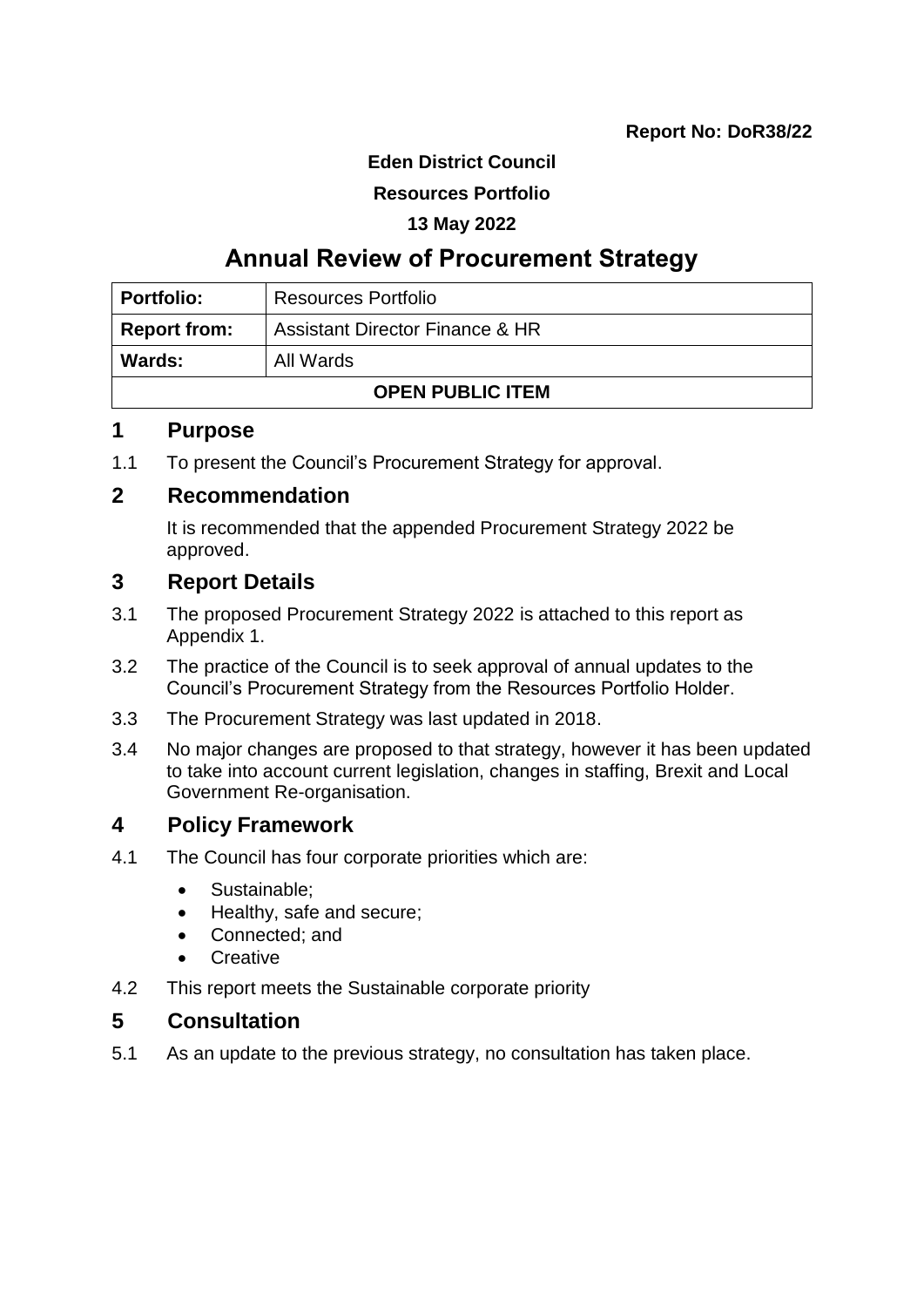#### **Eden District Council**

## **Resources Portfolio**

#### **13 May 2022**

## **Annual Review of Procurement Strategy**

| <b>Portfolio:</b>          | <b>Resources Portfolio</b>      |  |
|----------------------------|---------------------------------|--|
| <b>Report from:</b>        | Assistant Director Finance & HR |  |
| <b>Wards:</b><br>All Wards |                                 |  |
| <b>OPEN PUBLIC ITEM</b>    |                                 |  |

## **1 Purpose**

1.1 To present the Council's Procurement Strategy for approval.

## **2 Recommendation**

It is recommended that the appended Procurement Strategy 2022 be approved.

## **3 Report Details**

- 3.1 The proposed Procurement Strategy 2022 is attached to this report as Appendix 1.
- 3.2 The practice of the Council is to seek approval of annual updates to the Council's Procurement Strategy from the Resources Portfolio Holder.
- 3.3 The Procurement Strategy was last updated in 2018.
- 3.4 No major changes are proposed to that strategy, however it has been updated to take into account current legislation, changes in staffing, Brexit and Local Government Re-organisation.

## **4 Policy Framework**

- 4.1 The Council has four corporate priorities which are:
	- Sustainable;
	- Healthy, safe and secure;
	- Connected; and
	- **Creative**
- 4.2 This report meets the Sustainable corporate priority

## **5 Consultation**

5.1 As an update to the previous strategy, no consultation has taken place.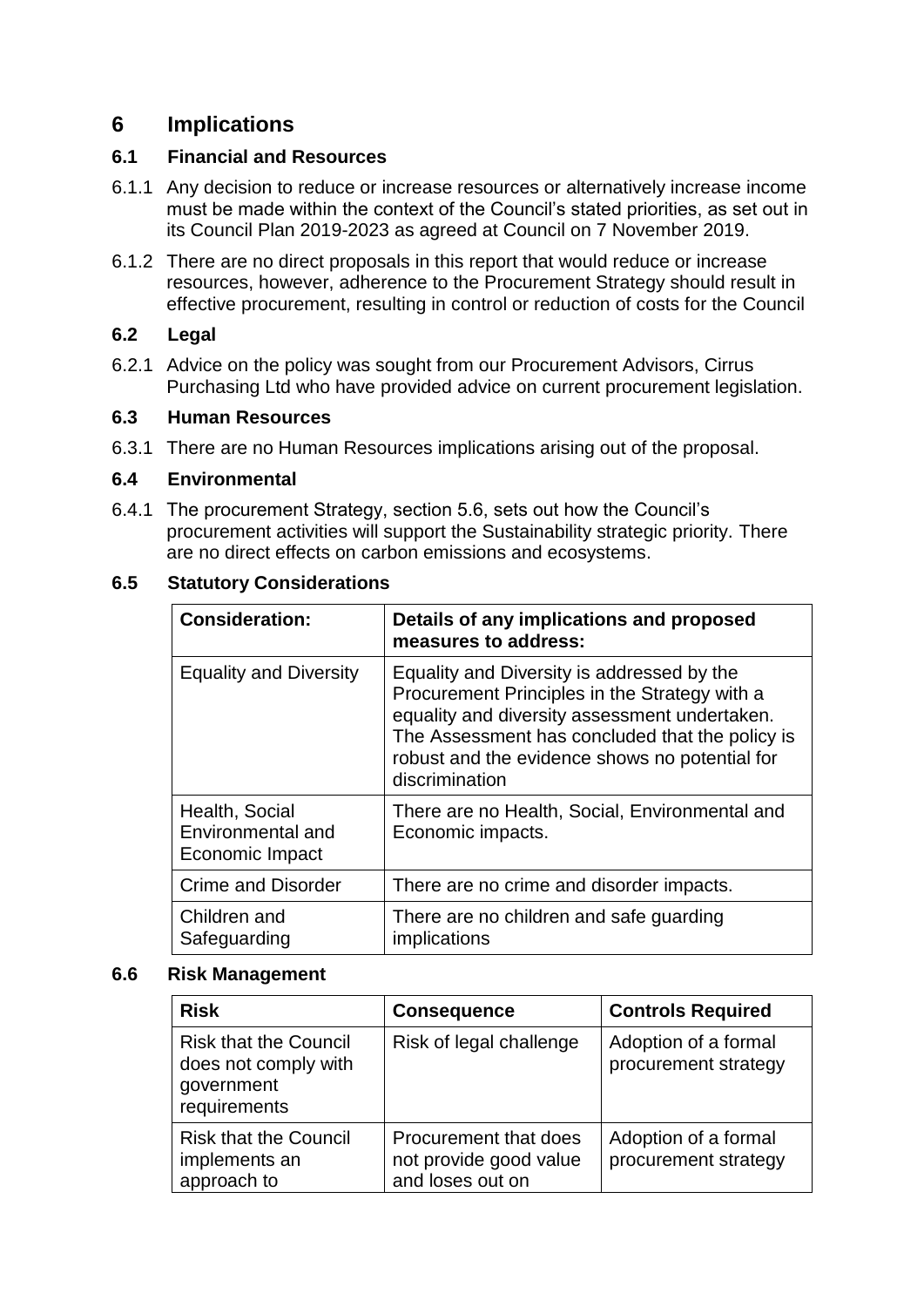## **6 Implications**

## **6.1 Financial and Resources**

- 6.1.1 Any decision to reduce or increase resources or alternatively increase income must be made within the context of the Council's stated priorities, as set out in its Council Plan 2019-2023 as agreed at Council on 7 November 2019.
- 6.1.2 There are no direct proposals in this report that would reduce or increase resources, however, adherence to the Procurement Strategy should result in effective procurement, resulting in control or reduction of costs for the Council

#### **6.2 Legal**

6.2.1 Advice on the policy was sought from our Procurement Advisors, Cirrus Purchasing Ltd who have provided advice on current procurement legislation.

#### **6.3 Human Resources**

6.3.1 There are no Human Resources implications arising out of the proposal.

#### **6.4 Environmental**

6.4.1 The procurement Strategy, section 5.6, sets out how the Council's procurement activities will support the Sustainability strategic priority. There are no direct effects on carbon emissions and ecosystems.

#### **Consideration: Details of any implications and proposed measures to address:** Equality and Diversity  $\parallel$  Equality and Diversity is addressed by the Procurement Principles in the Strategy with a equality and diversity assessment undertaken. The Assessment has concluded that the policy is robust and the evidence shows no potential for discrimination Health, Social Environmental and Economic Impact There are no Health, Social, Environmental and Economic impacts. Crime and Disorder | There are no crime and disorder impacts. Children and Safeguarding There are no children and safe guarding implications

## **6.5 Statutory Considerations**

#### **6.6 Risk Management**

| <b>Risk</b>                                                                        | <b>Consequence</b>                                                  | <b>Controls Required</b>                     |
|------------------------------------------------------------------------------------|---------------------------------------------------------------------|----------------------------------------------|
| <b>Risk that the Council</b><br>does not comply with<br>government<br>requirements | Risk of legal challenge                                             | Adoption of a formal<br>procurement strategy |
| <b>Risk that the Council</b><br>implements an<br>approach to                       | Procurement that does<br>not provide good value<br>and loses out on | Adoption of a formal<br>procurement strategy |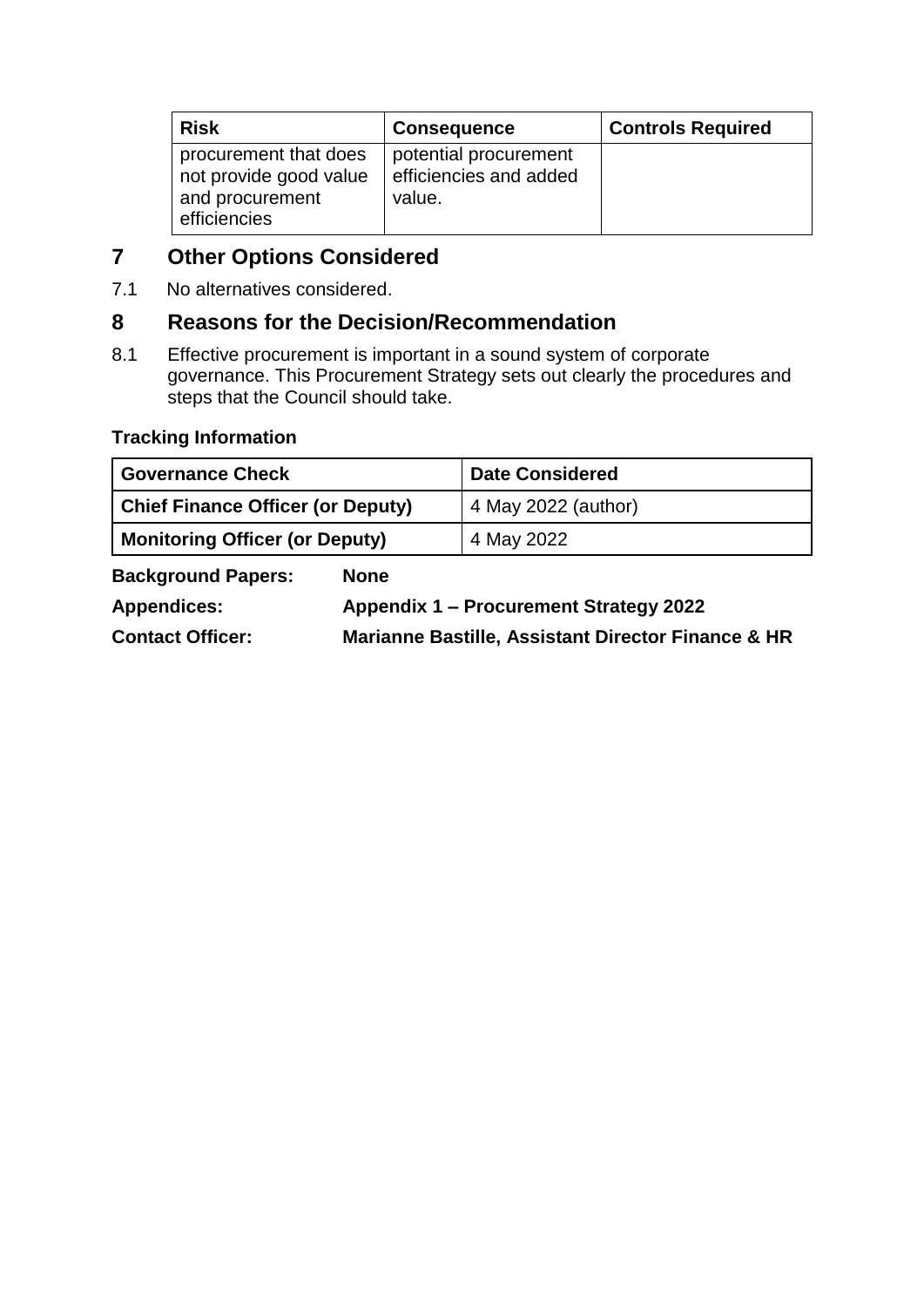| <b>Risk</b>                                                                        | <b>Consequence</b>                                        | <b>Controls Required</b> |
|------------------------------------------------------------------------------------|-----------------------------------------------------------|--------------------------|
| procurement that does<br>not provide good value<br>and procurement<br>efficiencies | potential procurement<br>efficiencies and added<br>value. |                          |

## **7 Other Options Considered**

7.1 No alternatives considered.

## **8 Reasons for the Decision/Recommendation**

8.1 Effective procurement is important in a sound system of corporate governance. This Procurement Strategy sets out clearly the procedures and steps that the Council should take.

## **Tracking Information**

| <b>Governance Check</b>                  |                                                               | <b>Date Considered</b> |
|------------------------------------------|---------------------------------------------------------------|------------------------|
| <b>Chief Finance Officer (or Deputy)</b> |                                                               | 4 May 2022 (author)    |
| <b>Monitoring Officer (or Deputy)</b>    |                                                               | 4 May 2022             |
| <b>Background Papers:</b>                | <b>None</b>                                                   |                        |
| <b>Appendices:</b>                       | Appendix 1 – Procurement Strategy 2022                        |                        |
| <b>Contact Officer:</b>                  | <b>Marianne Bastille, Assistant Director Finance &amp; HR</b> |                        |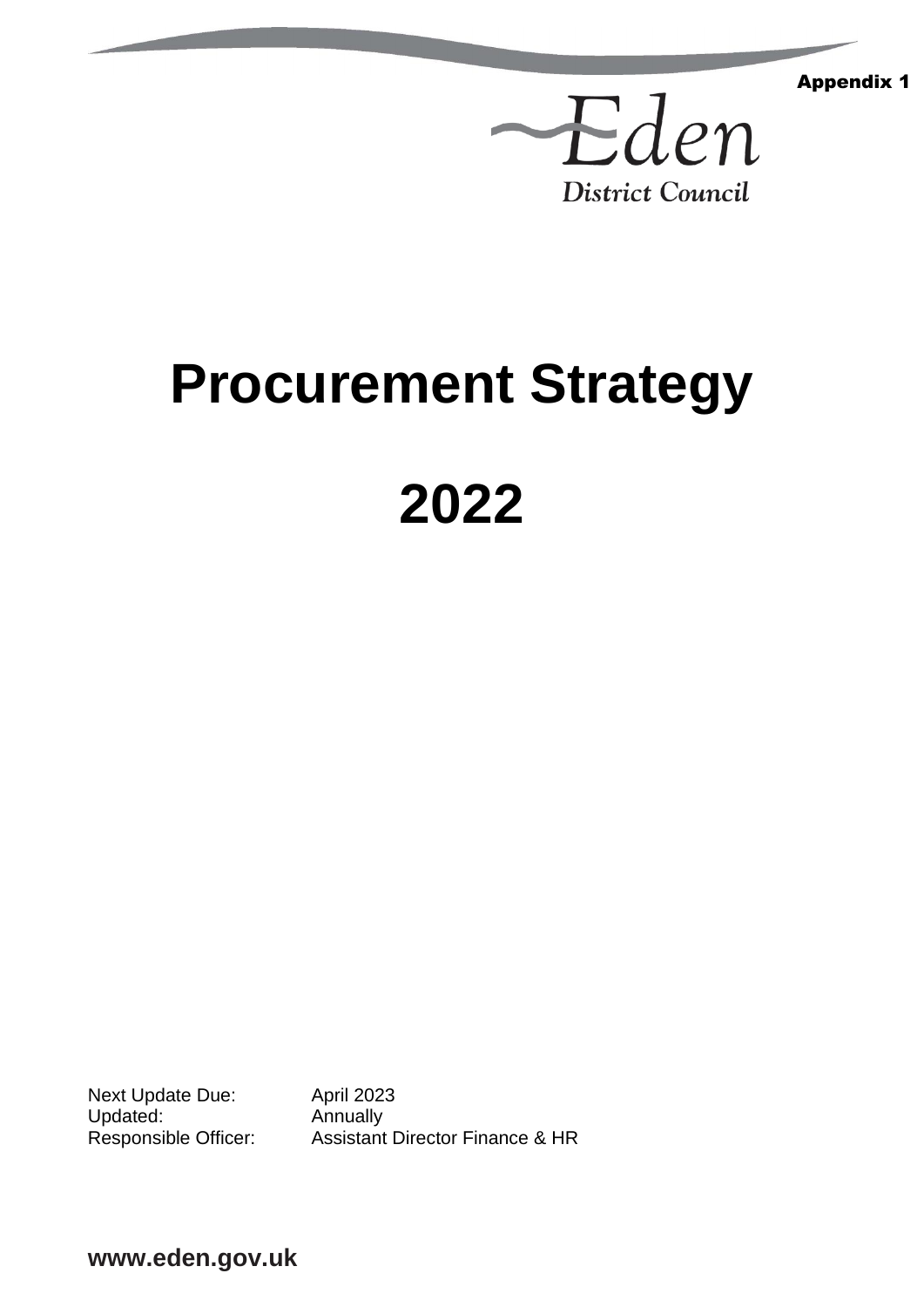Appendix 1



# **Procurement Strategy**

# **2022**

Next Update Due: April 2023 Updated: Annually<br>Responsible Officer: Assistant

Assistant Director Finance & HR

**www.eden.gov.uk**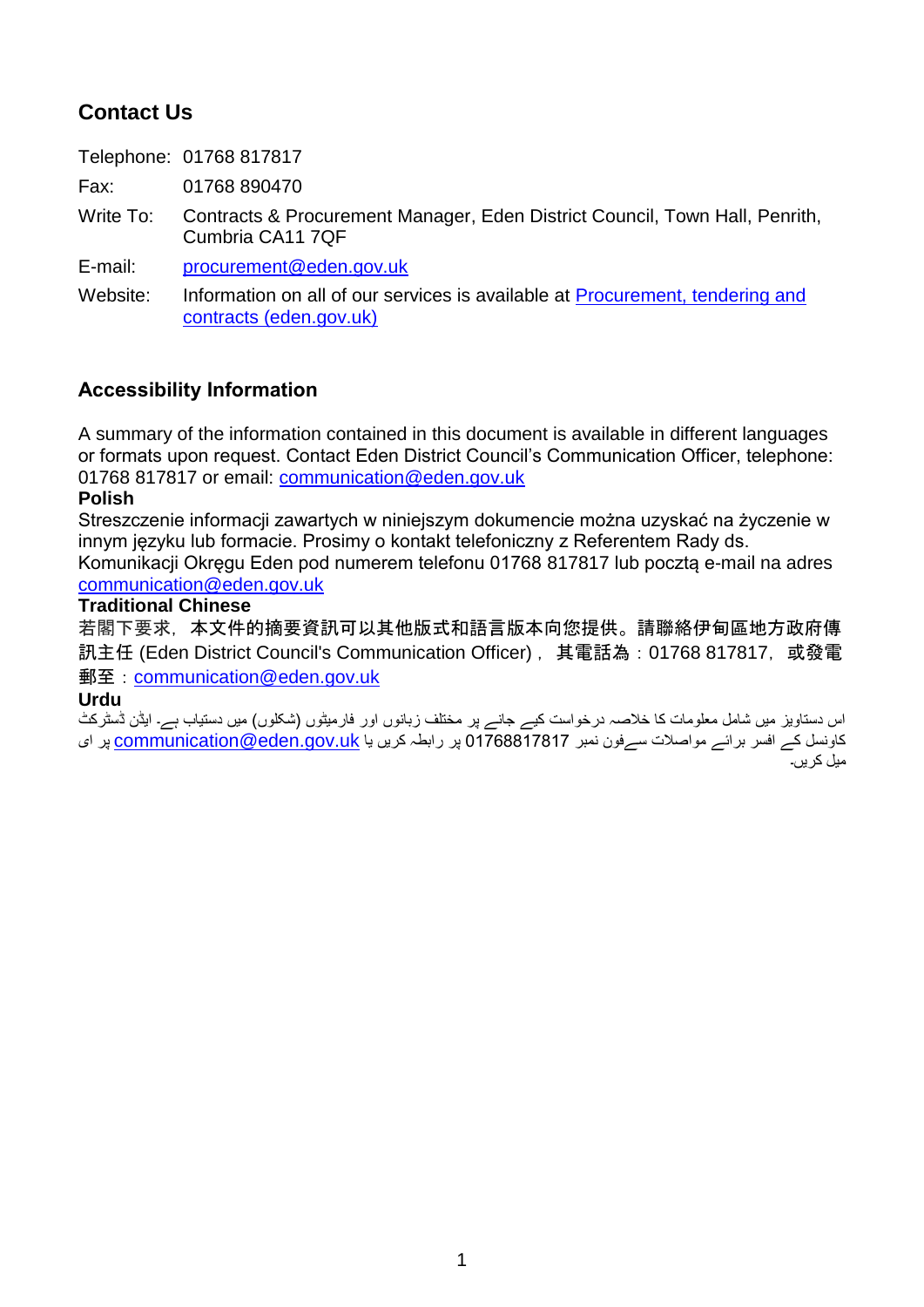## **Contact Us**

Telephone: 01768 817817

Fax: 01768 890470

Write To: Contracts & Procurement Manager, Eden District Council, Town Hall, Penrith, Cumbria CA11 7QF

E-mail: [procurement@eden.gov.uk](mailto:fin.man@eden.gov.uk)

Website: Information on all of our services is available at Procurement, tendering and [contracts \(eden.gov.uk\)](https://www.eden.gov.uk/your-council/council-business/procurement-tendering-and-contracts/)

## **Accessibility Information**

A summary of the information contained in this document is available in different languages or formats upon request. Contact Eden District Council's Communication Officer, telephone: 01768 817817 or email: [communication@eden.gov.uk](mailto:communication@eden.gov.uk)

#### **Polish**

Streszczenie informacji zawartych w niniejszym dokumencie można uzyskać na życzenie w innym języku lub formacie. Prosimy o kontakt telefoniczny z Referentem Rady ds. Komunikacji Okręgu Eden pod numerem telefonu 01768 817817 lub pocztą e-mail na adres [communication@eden.gov.uk](mailto:communication@eden.gov.uk)

## **Traditional Chinese**

若閣下要求,本文件的摘要資訊可以其他版式和語言版本向您提供。請聯絡伊甸區地方政府傳 訊主任 (Eden District Council's Communication Officer), 其電話為: 01768 817817, 或發電 郵至:[communication@eden.gov.uk](mailto:communication@eden.gov.uk)

## **Urdu**

اس دستاویز میں شامل معلومات کا خلاصہ درخواست کیے جانے پر مختلف زبانوں اور فارمیٹوں (شکلوں) میں دستیاب ہے۔ ایڈن ڈسٹرکٹ کاونسل کے افسر برائے مواصلات سےفون نمبر 01768817817 پر رابطہ کریں یا communication@eden.gov.uk پر ای میل کریں۔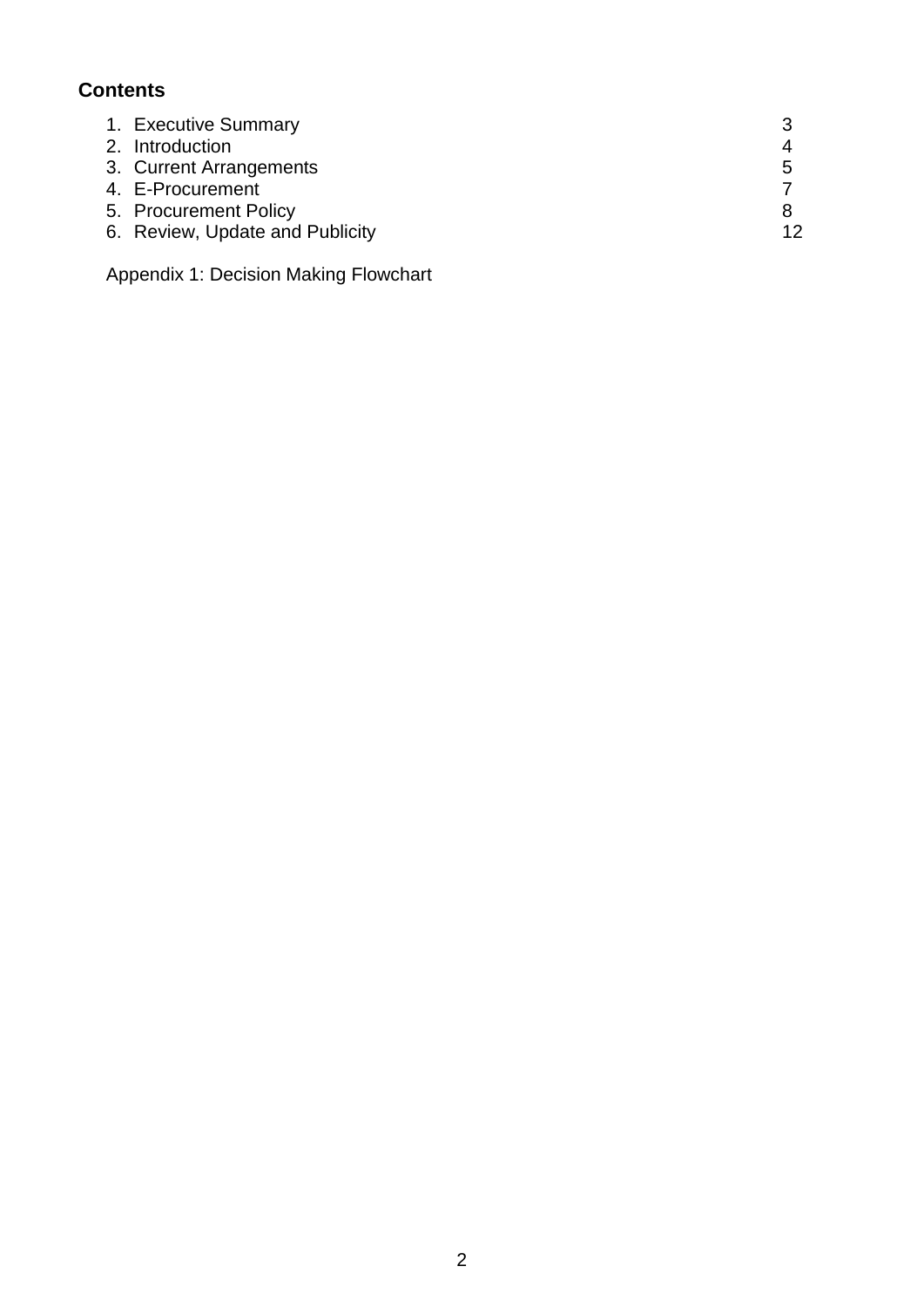## **Contents**

| 1. Executive Summary            |    |
|---------------------------------|----|
| 2. Introduction                 |    |
| 3. Current Arrangements         | .h |
| 4. E-Procurement                |    |
| 5. Procurement Policy           |    |
| 6. Review, Update and Publicity | 12 |
|                                 |    |

Appendix 1: Decision Making Flowchart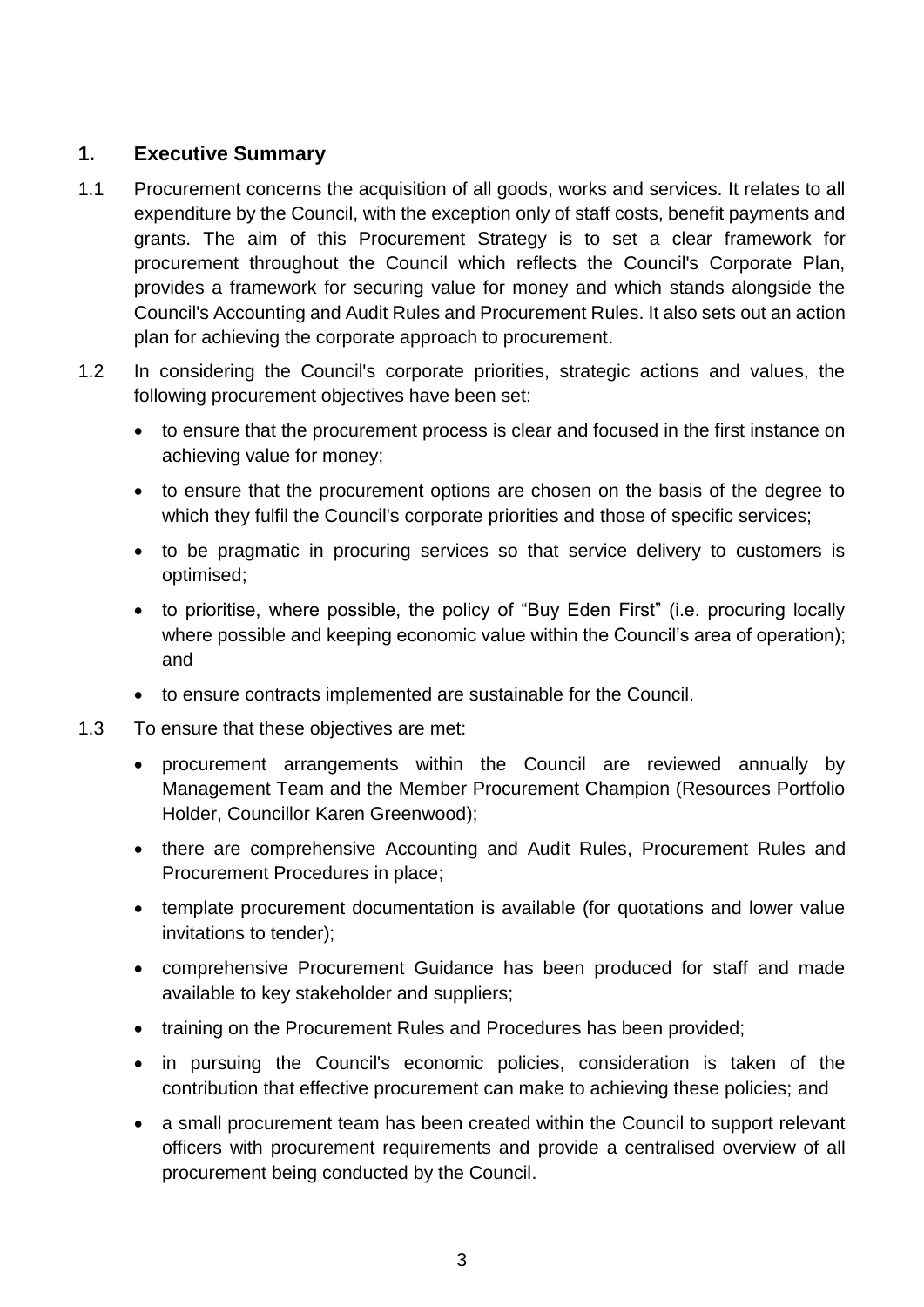## **1. Executive Summary**

- 1.1 Procurement concerns the acquisition of all goods, works and services. It relates to all expenditure by the Council, with the exception only of staff costs, benefit payments and grants. The aim of this Procurement Strategy is to set a clear framework for procurement throughout the Council which reflects the Council's Corporate Plan, provides a framework for securing value for money and which stands alongside the Council's Accounting and Audit Rules and Procurement Rules. It also sets out an action plan for achieving the corporate approach to procurement.
- 1.2 In considering the Council's corporate priorities, strategic actions and values, the following procurement objectives have been set:
	- to ensure that the procurement process is clear and focused in the first instance on achieving value for money;
	- to ensure that the procurement options are chosen on the basis of the degree to which they fulfil the Council's corporate priorities and those of specific services;
	- to be pragmatic in procuring services so that service delivery to customers is optimised;
	- to prioritise, where possible, the policy of "Buy Eden First" (i.e. procuring locally where possible and keeping economic value within the Council's area of operation); and
	- to ensure contracts implemented are sustainable for the Council.
- 1.3 To ensure that these objectives are met:
	- procurement arrangements within the Council are reviewed annually by Management Team and the Member Procurement Champion (Resources Portfolio Holder, Councillor Karen Greenwood);
	- there are comprehensive Accounting and Audit Rules, Procurement Rules and Procurement Procedures in place;
	- template procurement documentation is available (for quotations and lower value invitations to tender);
	- comprehensive Procurement Guidance has been produced for staff and made available to key stakeholder and suppliers;
	- training on the Procurement Rules and Procedures has been provided;
	- in pursuing the Council's economic policies, consideration is taken of the contribution that effective procurement can make to achieving these policies; and
	- a small procurement team has been created within the Council to support relevant officers with procurement requirements and provide a centralised overview of all procurement being conducted by the Council.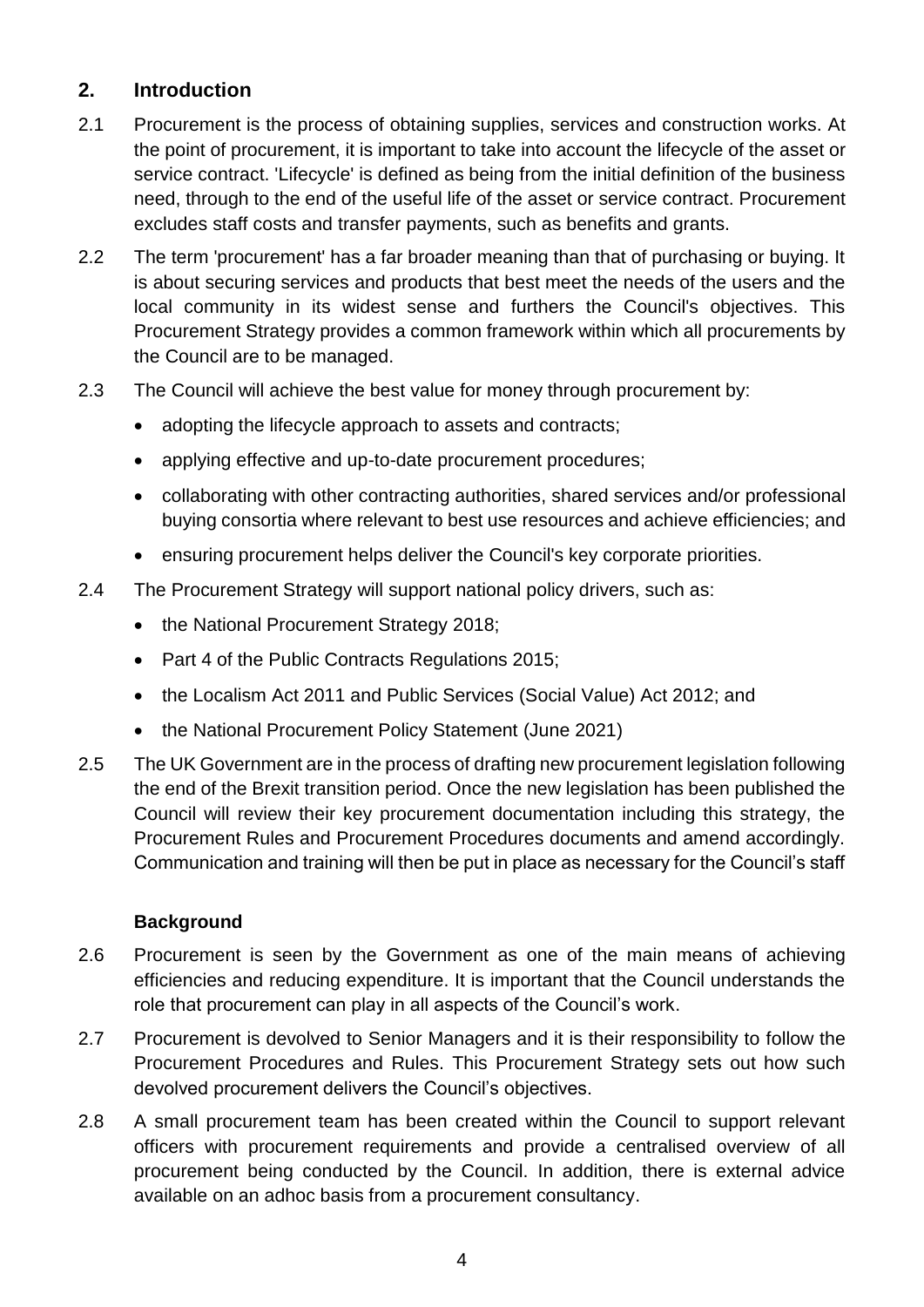## **2. Introduction**

- 2.1 Procurement is the process of obtaining supplies, services and construction works. At the point of procurement, it is important to take into account the lifecycle of the asset or service contract. 'Lifecycle' is defined as being from the initial definition of the business need, through to the end of the useful life of the asset or service contract. Procurement excludes staff costs and transfer payments, such as benefits and grants.
- 2.2 The term 'procurement' has a far broader meaning than that of purchasing or buying. It is about securing services and products that best meet the needs of the users and the local community in its widest sense and furthers the Council's objectives. This Procurement Strategy provides a common framework within which all procurements by the Council are to be managed.
- 2.3 The Council will achieve the best value for money through procurement by:
	- adopting the lifecycle approach to assets and contracts;
	- applying effective and up-to-date procurement procedures;
	- collaborating with other contracting authorities, shared services and/or professional buying consortia where relevant to best use resources and achieve efficiencies; and
	- ensuring procurement helps deliver the Council's key corporate priorities.
- 2.4 The Procurement Strategy will support national policy drivers, such as:
	- the National Procurement Strategy 2018;
	- Part 4 of the Public Contracts Regulations 2015;
	- the Localism Act 2011 and Public Services (Social Value) Act 2012; and
	- the National Procurement Policy Statement (June 2021)
- 2.5 The UK Government are in the process of drafting new procurement legislation following the end of the Brexit transition period. Once the new legislation has been published the Council will review their key procurement documentation including this strategy, the Procurement Rules and Procurement Procedures documents and amend accordingly. Communication and training will then be put in place as necessary for the Council's staff

## **Background**

- 2.6 Procurement is seen by the Government as one of the main means of achieving efficiencies and reducing expenditure. It is important that the Council understands the role that procurement can play in all aspects of the Council's work.
- 2.7 Procurement is devolved to Senior Managers and it is their responsibility to follow the Procurement Procedures and Rules. This Procurement Strategy sets out how such devolved procurement delivers the Council's objectives.
- 2.8 A small procurement team has been created within the Council to support relevant officers with procurement requirements and provide a centralised overview of all procurement being conducted by the Council. In addition, there is external advice available on an adhoc basis from a procurement consultancy.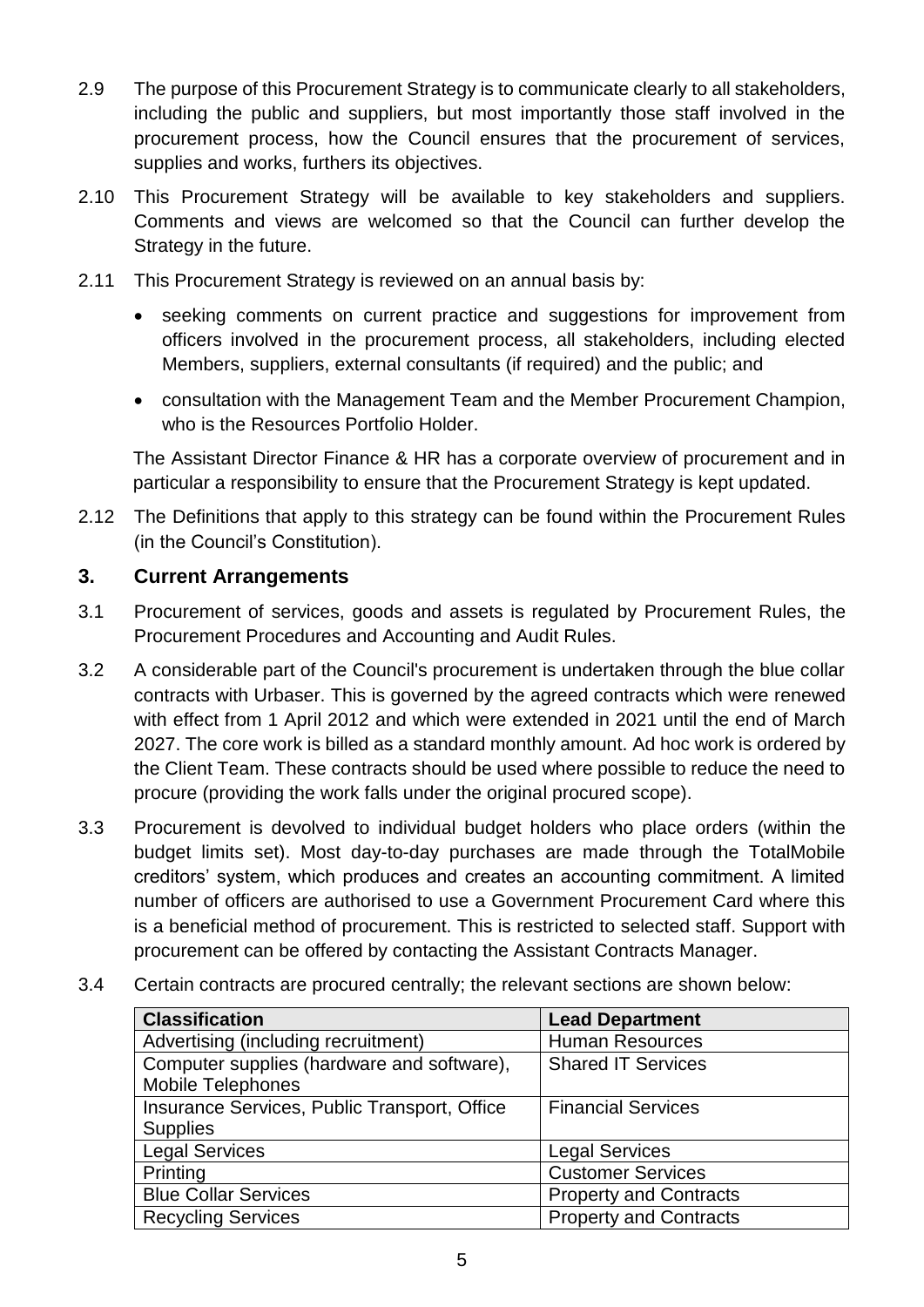- 2.9 The purpose of this Procurement Strategy is to communicate clearly to all stakeholders, including the public and suppliers, but most importantly those staff involved in the procurement process, how the Council ensures that the procurement of services, supplies and works, furthers its objectives.
- 2.10 This Procurement Strategy will be available to key stakeholders and suppliers. Comments and views are welcomed so that the Council can further develop the Strategy in the future.
- 2.11 This Procurement Strategy is reviewed on an annual basis by:
	- seeking comments on current practice and suggestions for improvement from officers involved in the procurement process, all stakeholders, including elected Members, suppliers, external consultants (if required) and the public; and
	- consultation with the Management Team and the Member Procurement Champion, who is the Resources Portfolio Holder.

The Assistant Director Finance & HR has a corporate overview of procurement and in particular a responsibility to ensure that the Procurement Strategy is kept updated.

2.12 The Definitions that apply to this strategy can be found within the Procurement Rules (in the Council's Constitution).

## **3. Current Arrangements**

- 3.1 Procurement of services, goods and assets is regulated by Procurement Rules, the Procurement Procedures and Accounting and Audit Rules.
- 3.2 A considerable part of the Council's procurement is undertaken through the blue collar contracts with Urbaser. This is governed by the agreed contracts which were renewed with effect from 1 April 2012 and which were extended in 2021 until the end of March 2027. The core work is billed as a standard monthly amount. Ad hoc work is ordered by the Client Team. These contracts should be used where possible to reduce the need to procure (providing the work falls under the original procured scope).
- 3.3 Procurement is devolved to individual budget holders who place orders (within the budget limits set). Most day-to-day purchases are made through the TotalMobile creditors' system, which produces and creates an accounting commitment. A limited number of officers are authorised to use a Government Procurement Card where this is a beneficial method of procurement. This is restricted to selected staff. Support with procurement can be offered by contacting the Assistant Contracts Manager.
- 3.4 Certain contracts are procured centrally; the relevant sections are shown below:

| <b>Lead Department</b>        |
|-------------------------------|
| <b>Human Resources</b>        |
| <b>Shared IT Services</b>     |
|                               |
| <b>Financial Services</b>     |
|                               |
| <b>Legal Services</b>         |
| <b>Customer Services</b>      |
| <b>Property and Contracts</b> |
| <b>Property and Contracts</b> |
|                               |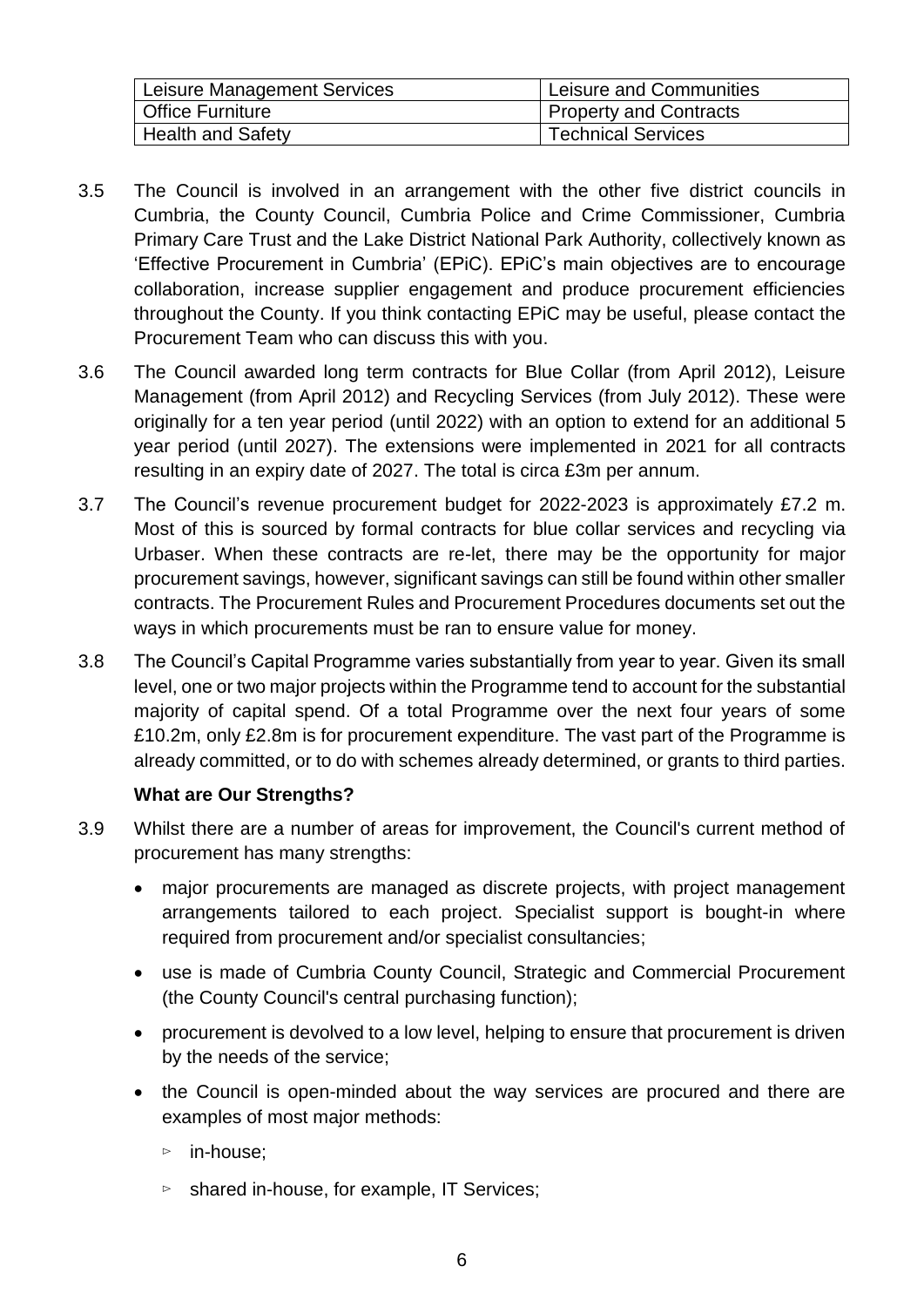| Leisure Management Services | Leisure and Communities       |
|-----------------------------|-------------------------------|
| <b>Office Furniture</b>     | <b>Property and Contracts</b> |
| <b>Health and Safety</b>    | <b>Technical Services</b>     |

- 3.5 The Council is involved in an arrangement with the other five district councils in Cumbria, the County Council, Cumbria Police and Crime Commissioner, Cumbria Primary Care Trust and the Lake District National Park Authority, collectively known as 'Effective Procurement in Cumbria' (EPiC). EPiC's main objectives are to encourage collaboration, increase supplier engagement and produce procurement efficiencies throughout the County. If you think contacting EPiC may be useful, please contact the Procurement Team who can discuss this with you.
- 3.6 The Council awarded long term contracts for Blue Collar (from April 2012), Leisure Management (from April 2012) and Recycling Services (from July 2012). These were originally for a ten year period (until 2022) with an option to extend for an additional 5 year period (until 2027). The extensions were implemented in 2021 for all contracts resulting in an expiry date of 2027. The total is circa £3m per annum.
- 3.7 The Council's revenue procurement budget for 2022-2023 is approximately £7.2 m. Most of this is sourced by formal contracts for blue collar services and recycling via Urbaser. When these contracts are re-let, there may be the opportunity for major procurement savings, however, significant savings can still be found within other smaller contracts. The Procurement Rules and Procurement Procedures documents set out the ways in which procurements must be ran to ensure value for money.
- 3.8 The Council's Capital Programme varies substantially from year to year. Given its small level, one or two major projects within the Programme tend to account for the substantial majority of capital spend. Of a total Programme over the next four years of some £10.2m, only £2.8m is for procurement expenditure. The vast part of the Programme is already committed, or to do with schemes already determined, or grants to third parties.

## **What are Our Strengths?**

- 3.9 Whilst there are a number of areas for improvement, the Council's current method of procurement has many strengths:
	- major procurements are managed as discrete projects, with project management arrangements tailored to each project. Specialist support is bought-in where required from procurement and/or specialist consultancies;
	- use is made of Cumbria County Council, Strategic and Commercial Procurement (the County Council's central purchasing function);
	- procurement is devolved to a low level, helping to ensure that procurement is driven by the needs of the service;
	- the Council is open-minded about the way services are procured and there are examples of most major methods:
		- ⊳ in-house;
		- ⊳ shared in-house, for example, IT Services;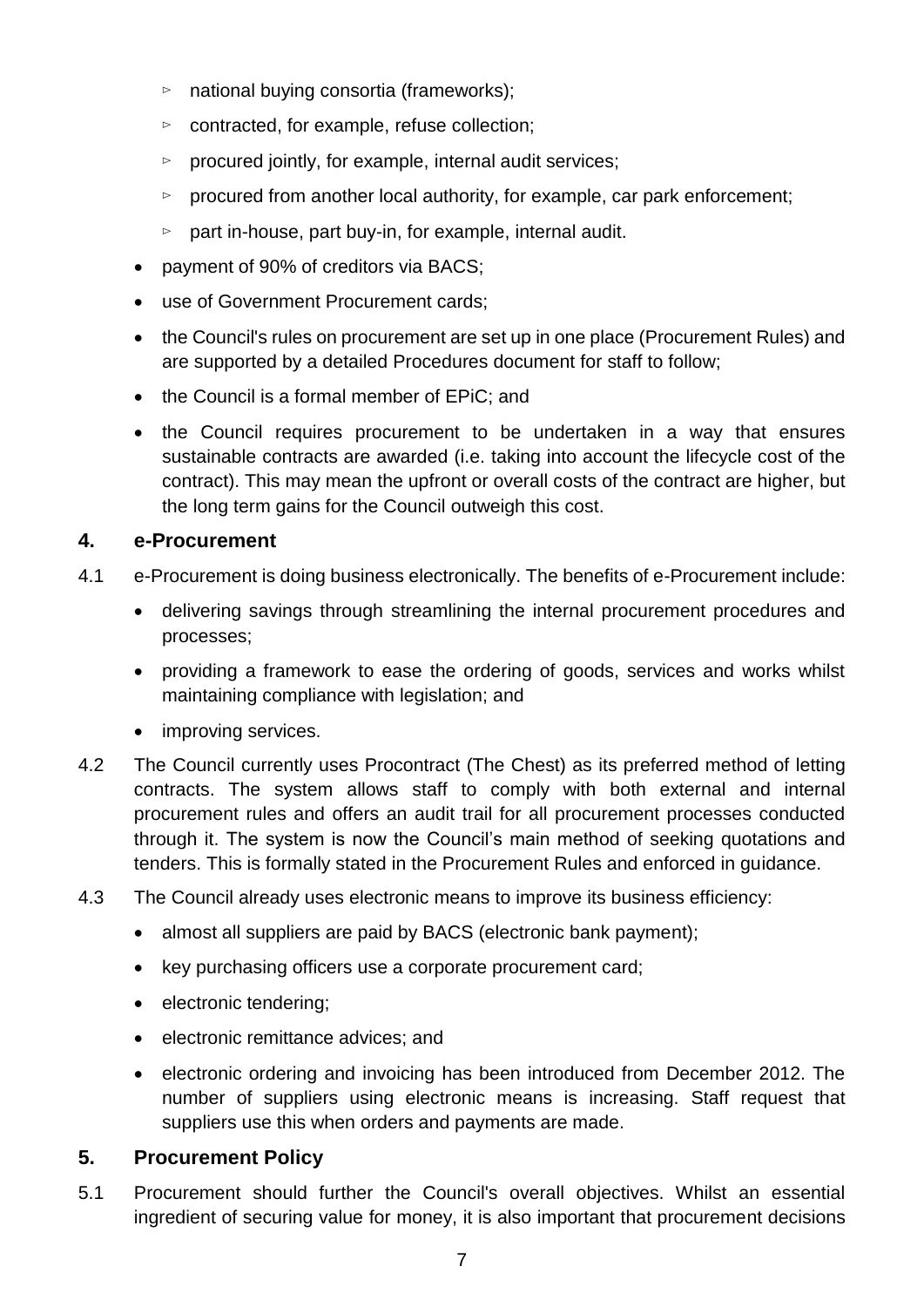- ⊳ national buying consortia (frameworks);
- ⊳ contracted, for example, refuse collection;
- ⊳ procured jointly, for example, internal audit services;
- ⊳ procured from another local authority, for example, car park enforcement;
- ⊳ part in-house, part buy-in, for example, internal audit.
- payment of 90% of creditors via BACS;
- use of Government Procurement cards;
- the Council's rules on procurement are set up in one place (Procurement Rules) and are supported by a detailed Procedures document for staff to follow;
- the Council is a formal member of EPiC: and
- the Council requires procurement to be undertaken in a way that ensures sustainable contracts are awarded (i.e. taking into account the lifecycle cost of the contract). This may mean the upfront or overall costs of the contract are higher, but the long term gains for the Council outweigh this cost.

## **4. e-Procurement**

- 4.1 e-Procurement is doing business electronically. The benefits of e-Procurement include:
	- delivering savings through streamlining the internal procurement procedures and processes;
	- providing a framework to ease the ordering of goods, services and works whilst maintaining compliance with legislation; and
	- improving services.
- 4.2 The Council currently uses Procontract (The Chest) as its preferred method of letting contracts. The system allows staff to comply with both external and internal procurement rules and offers an audit trail for all procurement processes conducted through it. The system is now the Council's main method of seeking quotations and tenders. This is formally stated in the Procurement Rules and enforced in guidance.
- 4.3 The Council already uses electronic means to improve its business efficiency:
	- almost all suppliers are paid by BACS (electronic bank payment);
	- key purchasing officers use a corporate procurement card;
	- electronic tendering;
	- electronic remittance advices; and
	- electronic ordering and invoicing has been introduced from December 2012. The number of suppliers using electronic means is increasing. Staff request that suppliers use this when orders and payments are made.

## **5. Procurement Policy**

5.1 Procurement should further the Council's overall objectives. Whilst an essential ingredient of securing value for money, it is also important that procurement decisions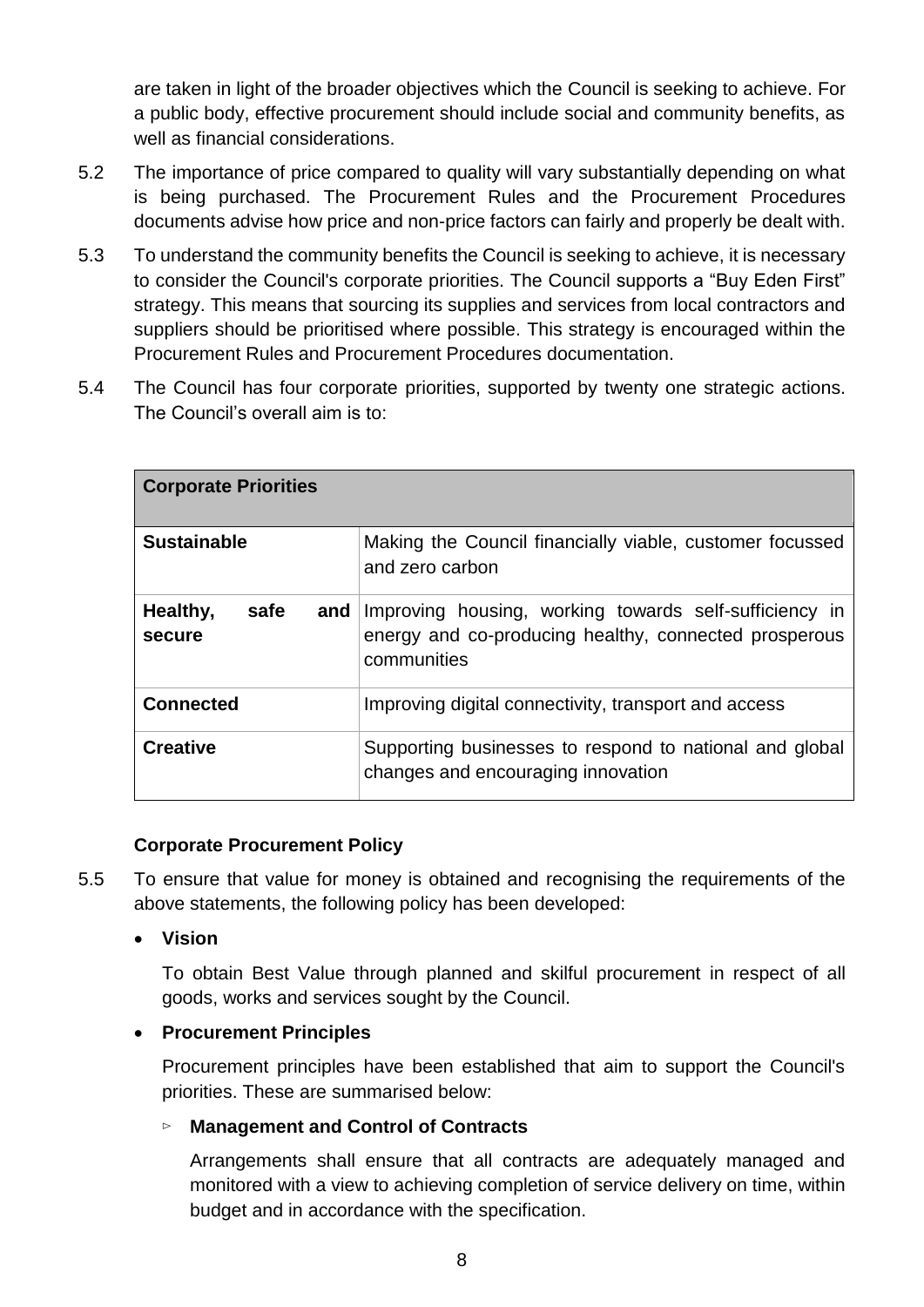are taken in light of the broader objectives which the Council is seeking to achieve. For a public body, effective procurement should include social and community benefits, as well as financial considerations.

- 5.2 The importance of price compared to quality will vary substantially depending on what is being purchased. The Procurement Rules and the Procurement Procedures documents advise how price and non-price factors can fairly and properly be dealt with.
- 5.3 To understand the community benefits the Council is seeking to achieve, it is necessary to consider the Council's corporate priorities. The Council supports a "Buy Eden First" strategy. This means that sourcing its supplies and services from local contractors and suppliers should be prioritised where possible. This strategy is encouraged within the Procurement Rules and Procurement Procedures documentation.
- 5.4 The Council has four corporate priorities, supported by twenty one strategic actions. The Council's overall aim is to:

| <b>Corporate Priorities</b>       |                                                                                                                                |  |
|-----------------------------------|--------------------------------------------------------------------------------------------------------------------------------|--|
| <b>Sustainable</b>                | Making the Council financially viable, customer focussed<br>and zero carbon                                                    |  |
| Healthy,<br>safe<br>and<br>secure | Improving housing, working towards self-sufficiency in<br>energy and co-producing healthy, connected prosperous<br>communities |  |
| <b>Connected</b>                  | Improving digital connectivity, transport and access                                                                           |  |
| <b>Creative</b>                   | Supporting businesses to respond to national and global<br>changes and encouraging innovation                                  |  |

#### **Corporate Procurement Policy**

5.5 To ensure that value for money is obtained and recognising the requirements of the above statements, the following policy has been developed:

#### **Vision**

To obtain Best Value through planned and skilful procurement in respect of all goods, works and services sought by the Council.

## **Procurement Principles**

Procurement principles have been established that aim to support the Council's priorities. These are summarised below:

## ⊳ **Management and Control of Contracts**

Arrangements shall ensure that all contracts are adequately managed and monitored with a view to achieving completion of service delivery on time, within budget and in accordance with the specification.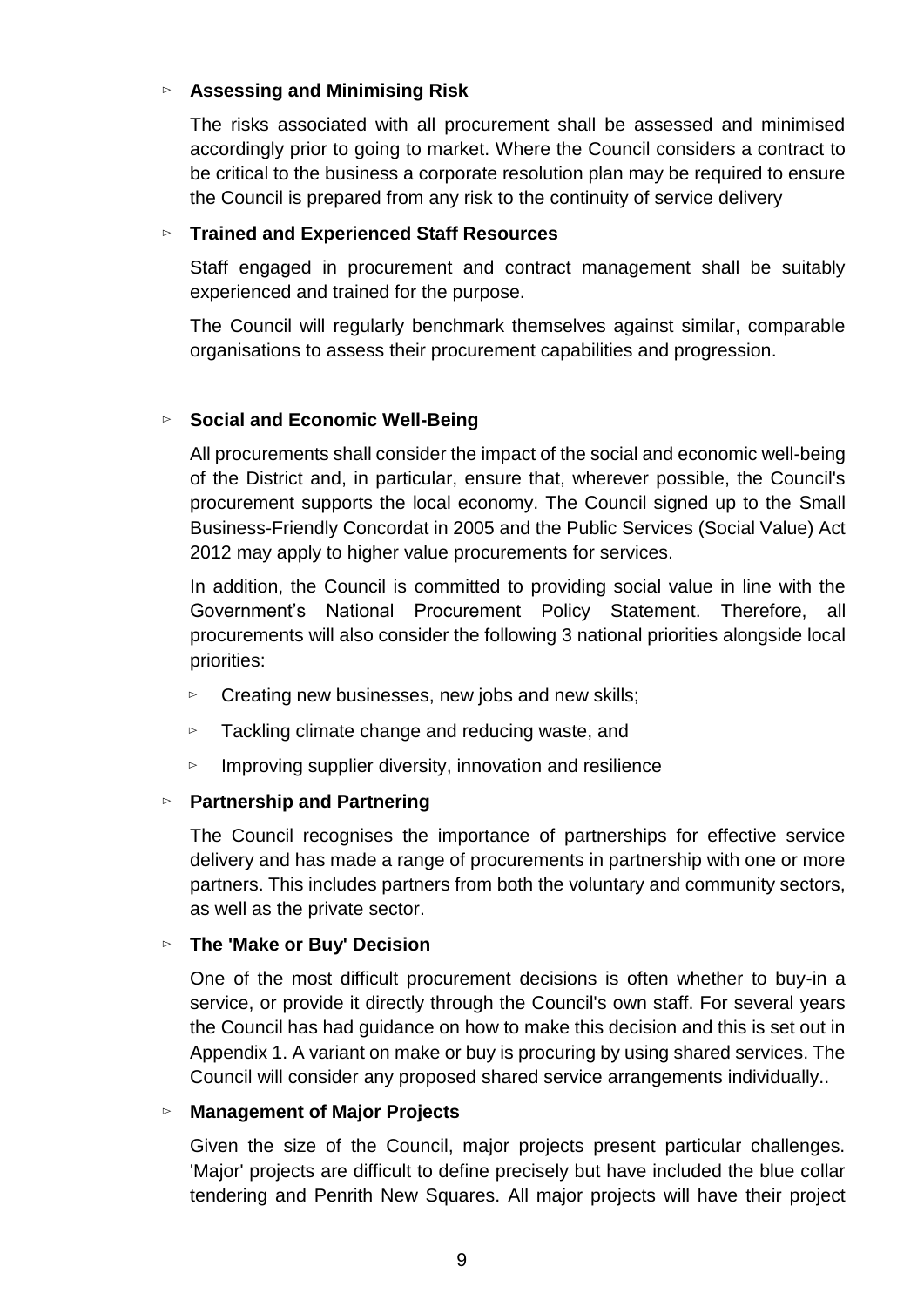## ⊳ **Assessing and Minimising Risk**

The risks associated with all procurement shall be assessed and minimised accordingly prior to going to market. Where the Council considers a contract to be critical to the business a corporate resolution plan may be required to ensure the Council is prepared from any risk to the continuity of service delivery

#### ⊳ **Trained and Experienced Staff Resources**

Staff engaged in procurement and contract management shall be suitably experienced and trained for the purpose.

The Council will regularly benchmark themselves against similar, comparable organisations to assess their procurement capabilities and progression.

#### ⊳ **Social and Economic Well-Being**

All procurements shall consider the impact of the social and economic well-being of the District and, in particular, ensure that, wherever possible, the Council's procurement supports the local economy. The Council signed up to the Small Business-Friendly Concordat in 2005 and the Public Services (Social Value) Act 2012 may apply to higher value procurements for services.

In addition, the Council is committed to providing social value in line with the Government's National Procurement Policy Statement. Therefore, all procurements will also consider the following 3 national priorities alongside local priorities:

- ⊳ Creating new businesses, new jobs and new skills;
- ⊳ Tackling climate change and reducing waste, and
- ⊳ Improving supplier diversity, innovation and resilience

#### ⊳ **Partnership and Partnering**

The Council recognises the importance of partnerships for effective service delivery and has made a range of procurements in partnership with one or more partners. This includes partners from both the voluntary and community sectors, as well as the private sector.

## ⊳ **The 'Make or Buy' Decision**

One of the most difficult procurement decisions is often whether to buy-in a service, or provide it directly through the Council's own staff. For several years the Council has had guidance on how to make this decision and this is set out in Appendix 1. A variant on make or buy is procuring by using shared services. The Council will consider any proposed shared service arrangements individually..

#### ⊳ **Management of Major Projects**

Given the size of the Council, major projects present particular challenges. 'Major' projects are difficult to define precisely but have included the blue collar tendering and Penrith New Squares. All major projects will have their project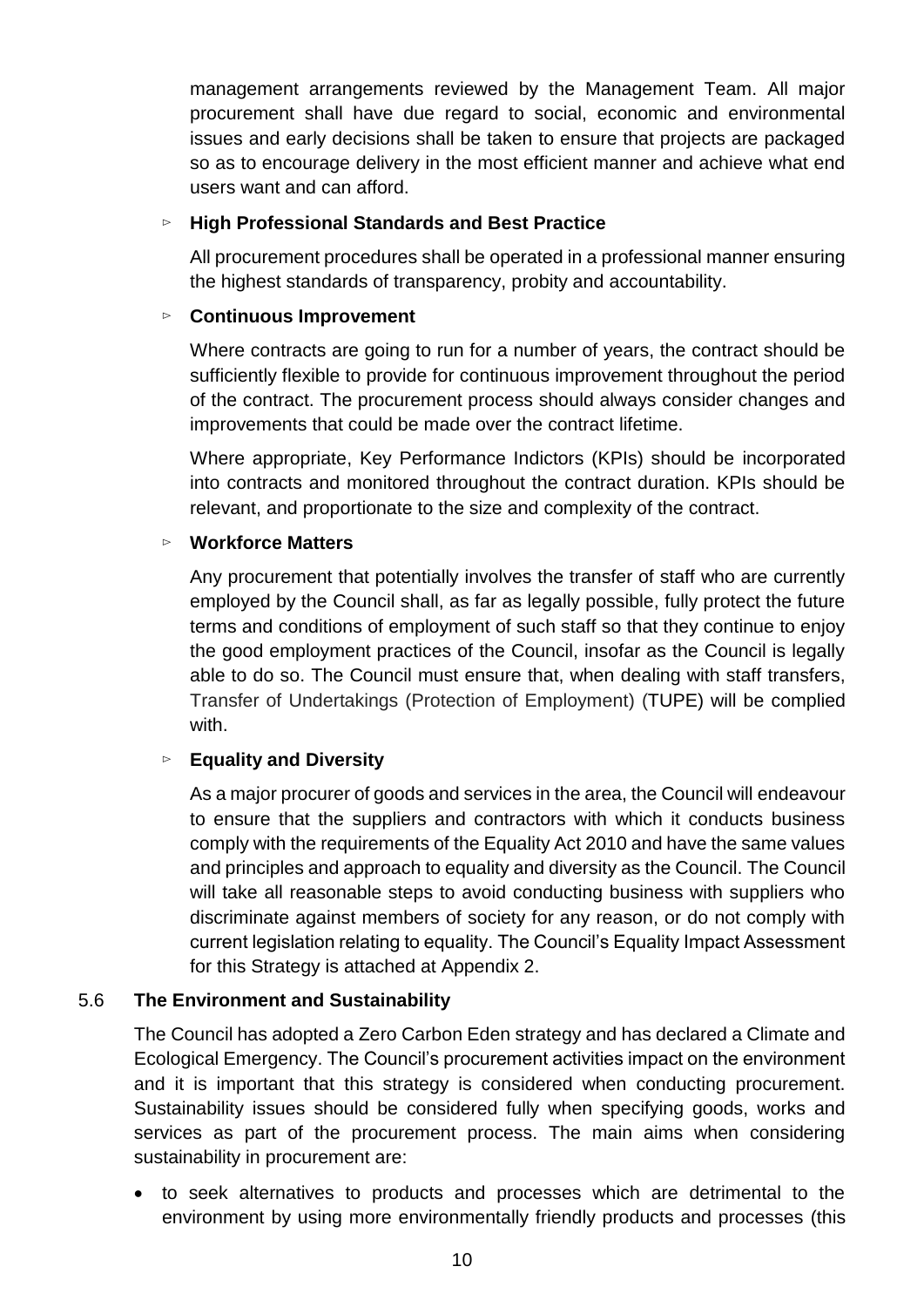management arrangements reviewed by the Management Team. All major procurement shall have due regard to social, economic and environmental issues and early decisions shall be taken to ensure that projects are packaged so as to encourage delivery in the most efficient manner and achieve what end users want and can afford.

## ⊳ **High Professional Standards and Best Practice**

All procurement procedures shall be operated in a professional manner ensuring the highest standards of transparency, probity and accountability.

## ⊳ **Continuous Improvement**

Where contracts are going to run for a number of years, the contract should be sufficiently flexible to provide for continuous improvement throughout the period of the contract. The procurement process should always consider changes and improvements that could be made over the contract lifetime.

Where appropriate, Key Performance Indictors (KPIs) should be incorporated into contracts and monitored throughout the contract duration. KPIs should be relevant, and proportionate to the size and complexity of the contract.

## ⊳ **Workforce Matters**

Any procurement that potentially involves the transfer of staff who are currently employed by the Council shall, as far as legally possible, fully protect the future terms and conditions of employment of such staff so that they continue to enjoy the good employment practices of the Council, insofar as the Council is legally able to do so. The Council must ensure that, when dealing with staff transfers, Transfer of Undertakings (Protection of Employment) (TUPE) will be complied with.

## ⊳ **Equality and Diversity**

As a major procurer of goods and services in the area, the Council will endeavour to ensure that the suppliers and contractors with which it conducts business comply with the requirements of the Equality Act 2010 and have the same values and principles and approach to equality and diversity as the Council. The Council will take all reasonable steps to avoid conducting business with suppliers who discriminate against members of society for any reason, or do not comply with current legislation relating to equality. The Council's Equality Impact Assessment for this Strategy is attached at Appendix 2.

## 5.6 **The Environment and Sustainability**

The Council has adopted a Zero Carbon Eden strategy and has declared a Climate and Ecological Emergency. The Council's procurement activities impact on the environment and it is important that this strategy is considered when conducting procurement. Sustainability issues should be considered fully when specifying goods, works and services as part of the procurement process. The main aims when considering sustainability in procurement are:

 to seek alternatives to products and processes which are detrimental to the environment by using more environmentally friendly products and processes (this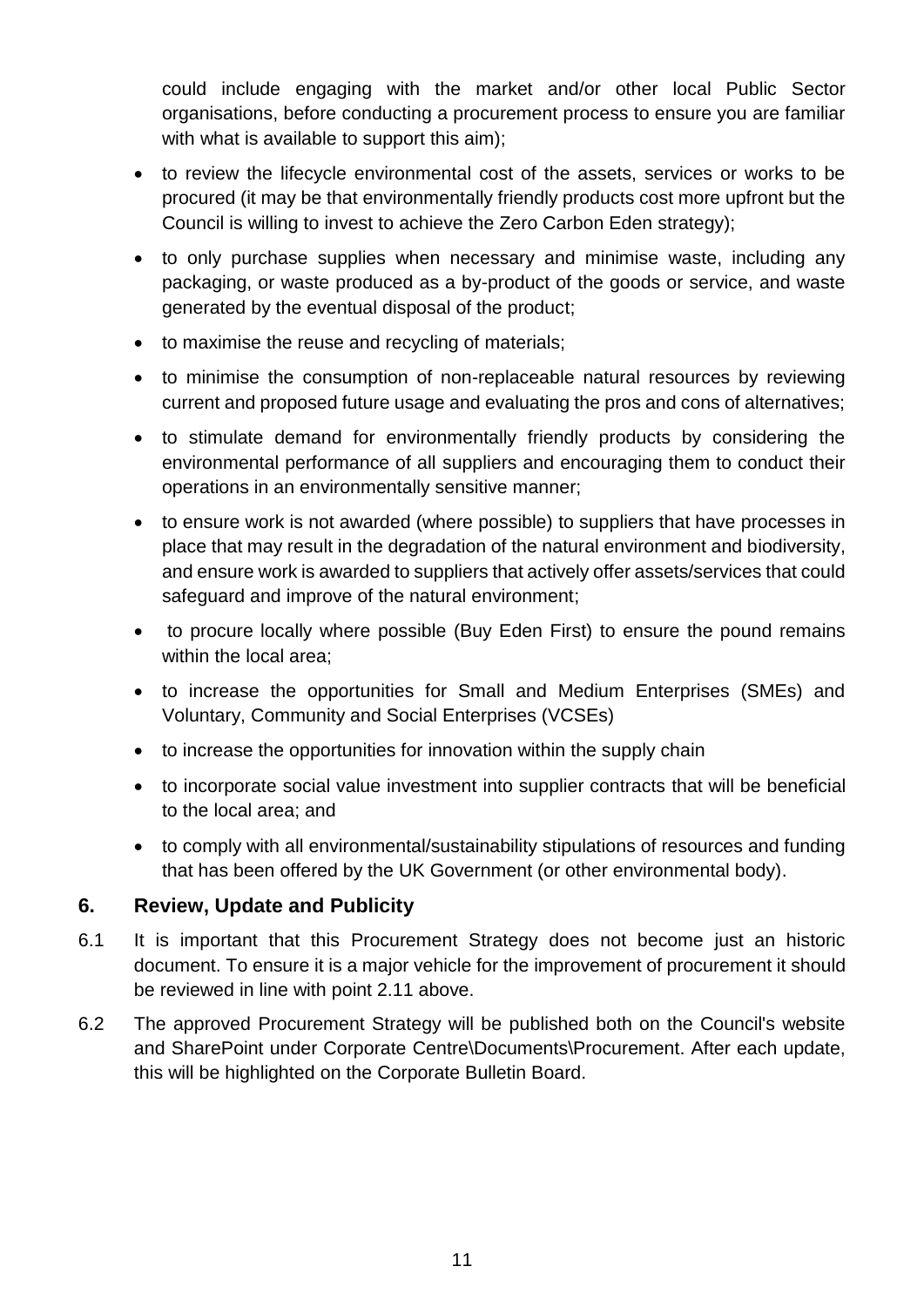could include engaging with the market and/or other local Public Sector organisations, before conducting a procurement process to ensure you are familiar with what is available to support this aim):

- to review the lifecycle environmental cost of the assets, services or works to be procured (it may be that environmentally friendly products cost more upfront but the Council is willing to invest to achieve the Zero Carbon Eden strategy);
- to only purchase supplies when necessary and minimise waste, including any packaging, or waste produced as a by-product of the goods or service, and waste generated by the eventual disposal of the product;
- to maximise the reuse and recycling of materials;
- to minimise the consumption of non-replaceable natural resources by reviewing current and proposed future usage and evaluating the pros and cons of alternatives;
- to stimulate demand for environmentally friendly products by considering the environmental performance of all suppliers and encouraging them to conduct their operations in an environmentally sensitive manner;
- to ensure work is not awarded (where possible) to suppliers that have processes in place that may result in the degradation of the natural environment and biodiversity, and ensure work is awarded to suppliers that actively offer assets/services that could safeguard and improve of the natural environment;
- to procure locally where possible (Buy Eden First) to ensure the pound remains within the local area:
- to increase the opportunities for Small and Medium Enterprises (SMEs) and Voluntary, Community and Social Enterprises (VCSEs)
- to increase the opportunities for innovation within the supply chain
- to incorporate social value investment into supplier contracts that will be beneficial to the local area; and
- to comply with all environmental/sustainability stipulations of resources and funding that has been offered by the UK Government (or other environmental body).

## **6. Review, Update and Publicity**

- 6.1 It is important that this Procurement Strategy does not become just an historic document. To ensure it is a major vehicle for the improvement of procurement it should be reviewed in line with point 2.11 above.
- 6.2 The approved Procurement Strategy will be published both on the Council's website and SharePoint under Corporate Centre\Documents\Procurement. After each update, this will be highlighted on the Corporate Bulletin Board.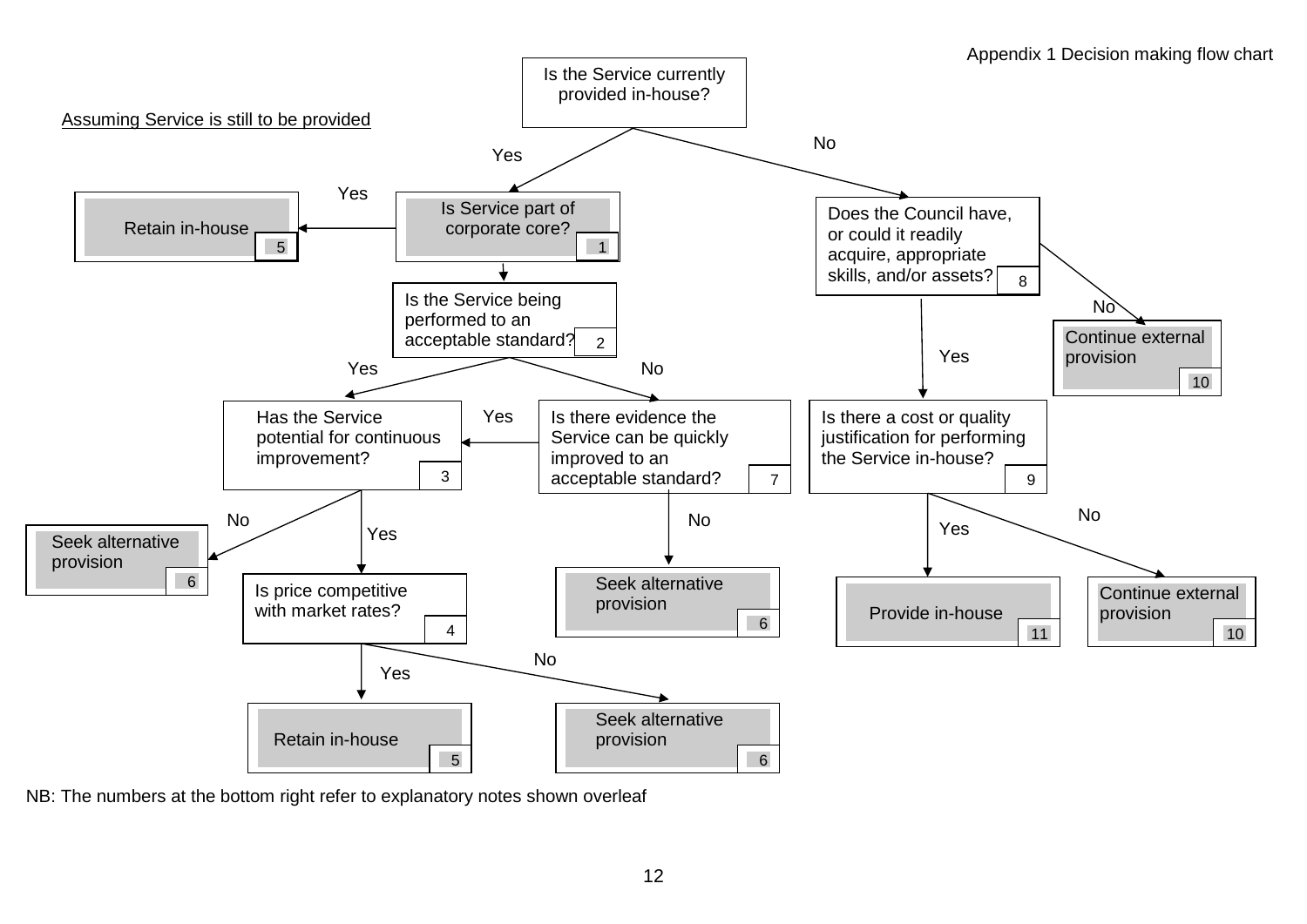

NB: The numbers at the bottom right refer to explanatory notes shown overleaf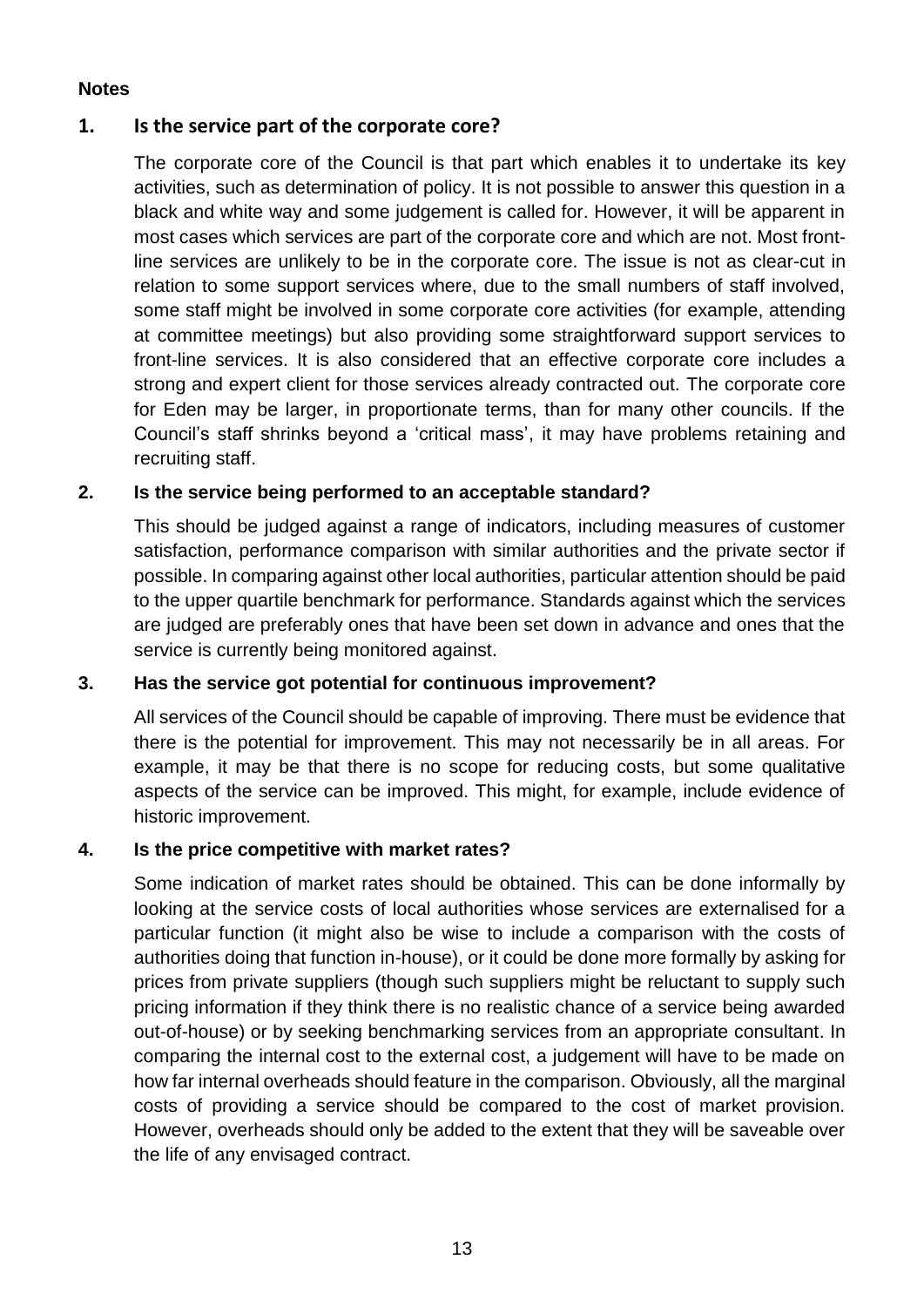## **Notes**

## **1. Is the service part of the corporate core?**

The corporate core of the Council is that part which enables it to undertake its key activities, such as determination of policy. It is not possible to answer this question in a black and white way and some judgement is called for. However, it will be apparent in most cases which services are part of the corporate core and which are not. Most frontline services are unlikely to be in the corporate core. The issue is not as clear-cut in relation to some support services where, due to the small numbers of staff involved, some staff might be involved in some corporate core activities (for example, attending at committee meetings) but also providing some straightforward support services to front-line services. It is also considered that an effective corporate core includes a strong and expert client for those services already contracted out. The corporate core for Eden may be larger, in proportionate terms, than for many other councils. If the Council's staff shrinks beyond a 'critical mass', it may have problems retaining and recruiting staff.

## **2. Is the service being performed to an acceptable standard?**

This should be judged against a range of indicators, including measures of customer satisfaction, performance comparison with similar authorities and the private sector if possible. In comparing against other local authorities, particular attention should be paid to the upper quartile benchmark for performance. Standards against which the services are judged are preferably ones that have been set down in advance and ones that the service is currently being monitored against.

## **3. Has the service got potential for continuous improvement?**

All services of the Council should be capable of improving. There must be evidence that there is the potential for improvement. This may not necessarily be in all areas. For example, it may be that there is no scope for reducing costs, but some qualitative aspects of the service can be improved. This might, for example, include evidence of historic improvement.

## **4. Is the price competitive with market rates?**

Some indication of market rates should be obtained. This can be done informally by looking at the service costs of local authorities whose services are externalised for a particular function (it might also be wise to include a comparison with the costs of authorities doing that function in-house), or it could be done more formally by asking for prices from private suppliers (though such suppliers might be reluctant to supply such pricing information if they think there is no realistic chance of a service being awarded out-of-house) or by seeking benchmarking services from an appropriate consultant. In comparing the internal cost to the external cost, a judgement will have to be made on how far internal overheads should feature in the comparison. Obviously, all the marginal costs of providing a service should be compared to the cost of market provision. However, overheads should only be added to the extent that they will be saveable over the life of any envisaged contract.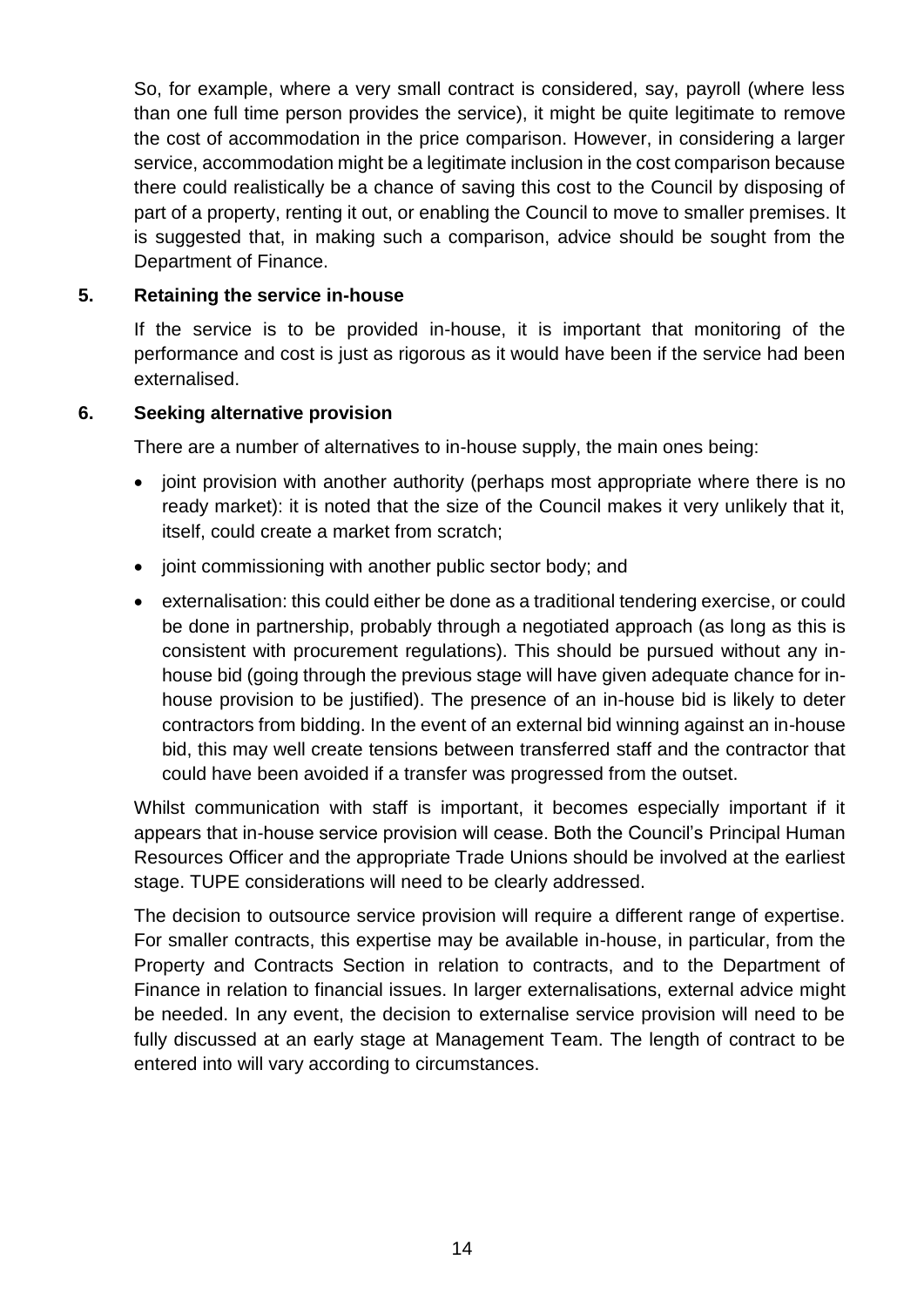So, for example, where a very small contract is considered, say, payroll (where less than one full time person provides the service), it might be quite legitimate to remove the cost of accommodation in the price comparison. However, in considering a larger service, accommodation might be a legitimate inclusion in the cost comparison because there could realistically be a chance of saving this cost to the Council by disposing of part of a property, renting it out, or enabling the Council to move to smaller premises. It is suggested that, in making such a comparison, advice should be sought from the Department of Finance.

## **5. Retaining the service in-house**

If the service is to be provided in-house, it is important that monitoring of the performance and cost is just as rigorous as it would have been if the service had been externalised.

#### **6. Seeking alternative provision**

There are a number of alternatives to in-house supply, the main ones being:

- joint provision with another authority (perhaps most appropriate where there is no ready market): it is noted that the size of the Council makes it very unlikely that it, itself, could create a market from scratch;
- joint commissioning with another public sector body; and
- externalisation: this could either be done as a traditional tendering exercise, or could be done in partnership, probably through a negotiated approach (as long as this is consistent with procurement regulations). This should be pursued without any inhouse bid (going through the previous stage will have given adequate chance for inhouse provision to be justified). The presence of an in-house bid is likely to deter contractors from bidding. In the event of an external bid winning against an in-house bid, this may well create tensions between transferred staff and the contractor that could have been avoided if a transfer was progressed from the outset.

Whilst communication with staff is important, it becomes especially important if it appears that in-house service provision will cease. Both the Council's Principal Human Resources Officer and the appropriate Trade Unions should be involved at the earliest stage. TUPE considerations will need to be clearly addressed.

The decision to outsource service provision will require a different range of expertise. For smaller contracts, this expertise may be available in-house, in particular, from the Property and Contracts Section in relation to contracts, and to the Department of Finance in relation to financial issues. In larger externalisations, external advice might be needed. In any event, the decision to externalise service provision will need to be fully discussed at an early stage at Management Team. The length of contract to be entered into will vary according to circumstances.